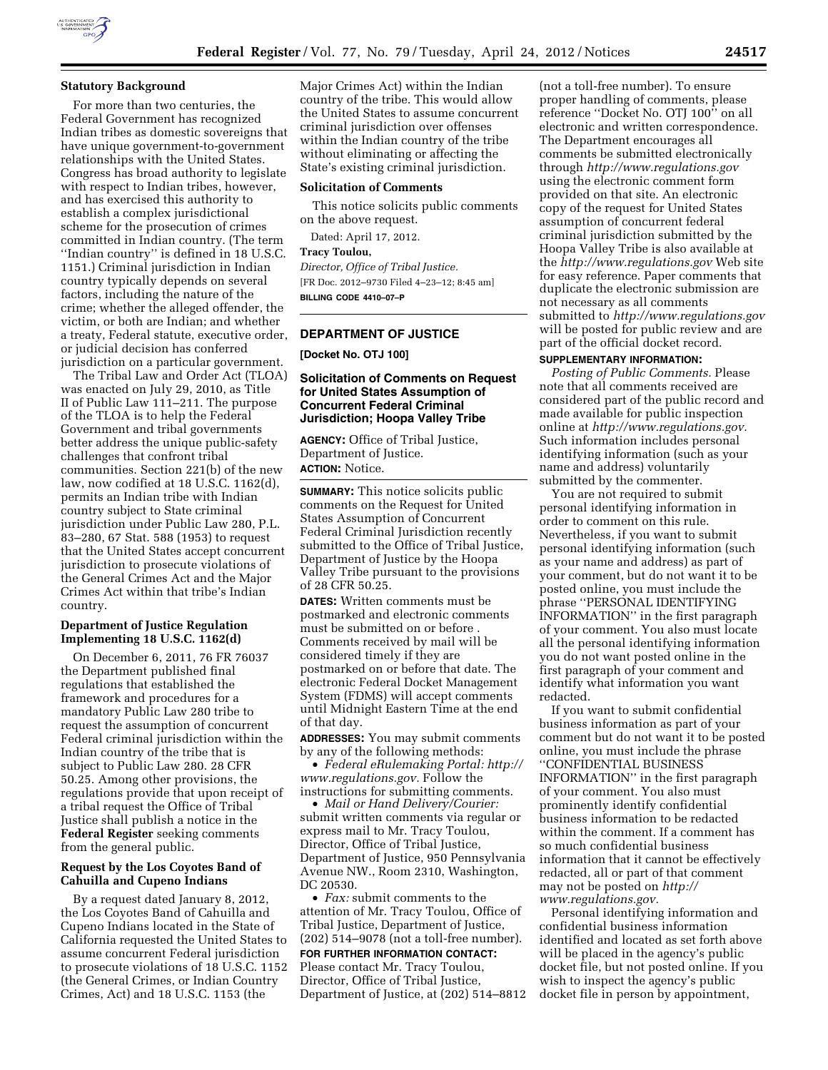

#### **Statutory Background**

For more than two centuries, the Federal Government has recognized Indian tribes as domestic sovereigns that have unique government-to-government relationships with the United States. Congress has broad authority to legislate with respect to Indian tribes, however, and has exercised this authority to establish a complex jurisdictional scheme for the prosecution of crimes committed in Indian country. (The term ''Indian country'' is defined in 18 U.S.C. 1151.) Criminal jurisdiction in Indian country typically depends on several factors, including the nature of the crime; whether the alleged offender, the victim, or both are Indian; and whether a treaty, Federal statute, executive order, or judicial decision has conferred jurisdiction on a particular government.

The Tribal Law and Order Act (TLOA) was enacted on July 29, 2010, as Title II of Public Law 111–211. The purpose of the TLOA is to help the Federal Government and tribal governments better address the unique public-safety challenges that confront tribal communities. Section 221(b) of the new law, now codified at 18 U.S.C. 1162(d), permits an Indian tribe with Indian country subject to State criminal jurisdiction under Public Law 280, P.L. 83–280, 67 Stat. 588 (1953) to request that the United States accept concurrent jurisdiction to prosecute violations of the General Crimes Act and the Major Crimes Act within that tribe's Indian country.

## **Department of Justice Regulation Implementing 18 U.S.C. 1162(d)**

On December 6, 2011, 76 FR 76037 the Department published final regulations that established the framework and procedures for a mandatory Public Law 280 tribe to request the assumption of concurrent Federal criminal jurisdiction within the Indian country of the tribe that is subject to Public Law 280. 28 CFR 50.25. Among other provisions, the regulations provide that upon receipt of a tribal request the Office of Tribal Justice shall publish a notice in the **Federal Register** seeking comments from the general public.

## **Request by the Los Coyotes Band of Cahuilla and Cupeno Indians**

By a request dated January 8, 2012, the Los Coyotes Band of Cahuilla and Cupeno Indians located in the State of California requested the United States to assume concurrent Federal jurisdiction to prosecute violations of 18 U.S.C. 1152 (the General Crimes, or Indian Country Crimes, Act) and 18 U.S.C. 1153 (the

Major Crimes Act) within the Indian country of the tribe. This would allow the United States to assume concurrent criminal jurisdiction over offenses within the Indian country of the tribe without eliminating or affecting the State's existing criminal jurisdiction.

#### **Solicitation of Comments**

This notice solicits public comments on the above request.

Dated: April 17, 2012.

**Tracy Toulou,**  *Director, Office of Tribal Justice.*  [FR Doc. 2012–9730 Filed 4–23–12; 8:45 am] **BILLING CODE 4410–07–P** 

## **DEPARTMENT OF JUSTICE**

**[Docket No. OTJ 100]** 

### **Solicitation of Comments on Request for United States Assumption of Concurrent Federal Criminal Jurisdiction; Hoopa Valley Tribe**

**AGENCY:** Office of Tribal Justice, Department of Justice. **ACTION:** Notice.

**SUMMARY:** This notice solicits public comments on the Request for United States Assumption of Concurrent Federal Criminal Jurisdiction recently submitted to the Office of Tribal Justice, Department of Justice by the Hoopa Valley Tribe pursuant to the provisions of 28 CFR 50.25.

**DATES:** Written comments must be postmarked and electronic comments must be submitted on or before . Comments received by mail will be considered timely if they are postmarked on or before that date. The electronic Federal Docket Management System (FDMS) will accept comments until Midnight Eastern Time at the end of that day.

**ADDRESSES:** You may submit comments by any of the following methods:

• *Federal eRulemaking Portal: [http://](http://www.regulations.gov)  [www.regulations.gov.](http://www.regulations.gov)* Follow the instructions for submitting comments.

• *Mail or Hand Delivery/Courier:*  submit written comments via regular or express mail to Mr. Tracy Toulou, Director, Office of Tribal Justice, Department of Justice, 950 Pennsylvania Avenue NW., Room 2310, Washington, DC 20530.

• *Fax:* submit comments to the attention of Mr. Tracy Toulou, Office of Tribal Justice, Department of Justice, (202) 514–9078 (not a toll-free number). **FOR FURTHER INFORMATION CONTACT:** 

# Please contact Mr. Tracy Toulou, Director, Office of Tribal Justice, Department of Justice, at (202) 514–8812

(not a toll-free number). To ensure proper handling of comments, please reference ''Docket No. OTJ 100'' on all electronic and written correspondence. The Department encourages all comments be submitted electronically through *<http://www.regulations.gov>*  using the electronic comment form provided on that site. An electronic copy of the request for United States assumption of concurrent federal criminal jurisdiction submitted by the Hoopa Valley Tribe is also available at the *<http://www.regulations.gov>*Web site for easy reference. Paper comments that duplicate the electronic submission are not necessary as all comments submitted to *<http://www.regulations.gov>* will be posted for public review and are part of the official docket record.

#### **SUPPLEMENTARY INFORMATION:**

*Posting of Public Comments.* Please note that all comments received are considered part of the public record and made available for public inspection online at *[http://www.regulations.gov.](http://www.regulations.gov)*  Such information includes personal identifying information (such as your name and address) voluntarily submitted by the commenter.

You are not required to submit personal identifying information in order to comment on this rule. Nevertheless, if you want to submit personal identifying information (such as your name and address) as part of your comment, but do not want it to be posted online, you must include the phrase ''PERSONAL IDENTIFYING INFORMATION'' in the first paragraph of your comment. You also must locate all the personal identifying information you do not want posted online in the first paragraph of your comment and identify what information you want redacted.

If you want to submit confidential business information as part of your comment but do not want it to be posted online, you must include the phrase ''CONFIDENTIAL BUSINESS INFORMATION'' in the first paragraph of your comment. You also must prominently identify confidential business information to be redacted within the comment. If a comment has so much confidential business information that it cannot be effectively redacted, all or part of that comment may not be posted on *[http://](http://www.regulations.gov) [www.regulations.gov.](http://www.regulations.gov)* 

Personal identifying information and confidential business information identified and located as set forth above will be placed in the agency's public docket file, but not posted online. If you wish to inspect the agency's public docket file in person by appointment,